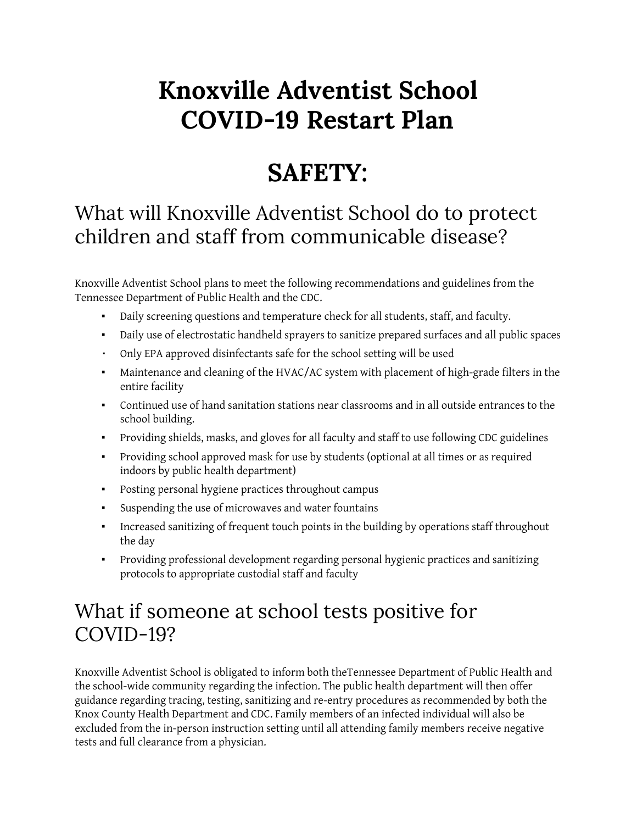# **Knoxville Adventist School COVID-19 Restart Plan**

## **SAFETY:**

#### What will Knoxville Adventist School do to protect children and staff from communicable disease?

Knoxville Adventist School plans to meet the following recommendations and guidelines from the Tennessee Department of Public Health and the CDC.

- Daily screening questions and temperature check for all students, staff, and faculty.
- Daily use of electrostatic handheld sprayers to sanitize prepared surfaces and all public spaces
- Only EPA approved disinfectants safe for the school setting will be used
- Maintenance and cleaning of the HVAC/AC system with placement of high-grade filters in the entire facility
- Continued use of hand sanitation stations near classrooms and in all outside entrances to the school building.
- Providing shields, masks, and gloves for all faculty and staff to use following CDC guidelines
- Providing school approved mask for use by students (optional at all times or as required indoors by public health department)
- Posting personal hygiene practices throughout campus
- Suspending the use of microwaves and water fountains
- Increased sanitizing of frequent touch points in the building by operations staff throughout the day
- Providing professional development regarding personal hygienic practices and sanitizing protocols to appropriate custodial staff and faculty

#### What if someone at school tests positive for COVID-19?

Knoxville Adventist School is obligated to inform both theTennessee Department of Public Health and the school-wide community regarding the infection. The public health department will then offer guidance regarding tracing, testing, sanitizing and re-entry procedures as recommended by both the Knox County Health Department and CDC. Family members of an infected individual will also be excluded from the in-person instruction setting until all attending family members receive negative tests and full clearance from a physician.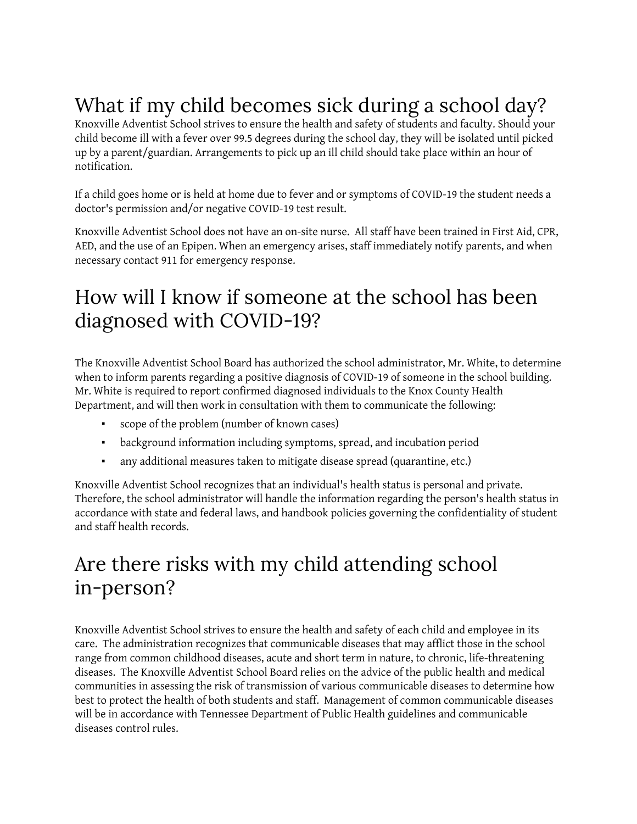## What if my child becomes sick during a school day?

Knoxville Adventist School strives to ensure the health and safety of students and faculty. Should your child become ill with a fever over 99.5 degrees during the school day, they will be isolated until picked up by a parent/guardian. Arrangements to pick up an ill child should take place within an hour of notification.

If a child goes home or is held at home due to fever and or symptoms of COVID-19 the student needs a doctor's permission and/or negative COVID-19 test result.

Knoxville Adventist School does not have an on-site nurse. All staff have been trained in First Aid, CPR, AED, and the use of an Epipen. When an emergency arises, staff immediately notify parents, and when necessary contact 911 for emergency response.

### How will I know if someone at the school has been diagnosed with COVID-19?

The Knoxville Adventist School Board has authorized the school administrator, Mr. White, to determine when to inform parents regarding a positive diagnosis of COVID-19 of someone in the school building. Mr. White is required to report confirmed diagnosed individuals to the Knox County Health Department, and will then work in consultation with them to communicate the following:

- scope of the problem (number of known cases)
- background information including symptoms, spread, and incubation period
- any additional measures taken to mitigate disease spread (quarantine, etc.)

Knoxville Adventist School recognizes that an individual's health status is personal and private. Therefore, the school administrator will handle the information regarding the person's health status in accordance with state and federal laws, and handbook policies governing the confidentiality of student and staff health records.

#### Are there risks with my child attending school in-person?

Knoxville Adventist School strives to ensure the health and safety of each child and employee in its care. The administration recognizes that communicable diseases that may afflict those in the school range from common childhood diseases, acute and short term in nature, to chronic, life-threatening diseases. The Knoxville Adventist School Board relies on the advice of the public health and medical communities in assessing the risk of transmission of various communicable diseases to determine how best to protect the health of both students and staff. Management of common communicable diseases will be in accordance with Tennessee Department of Public Health guidelines and communicable diseases control rules.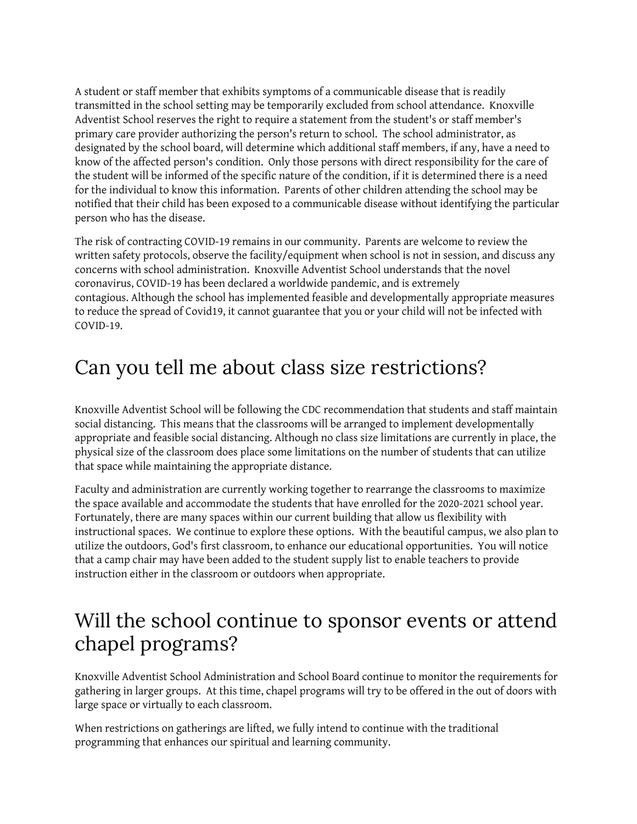A student or staff member that exhibits symptoms of a communicable disease that is readily transmitted in the school setting may be temporarily excluded from school attendance. Knoxville Adventist School reserves the right to require a statement from the student's or staff member's primary care provider authorizing the person's return to school. The school administrator, as designated by the school board, will determine which additional staff members, if any, have a need to know of the affected person's condition. Only those persons with direct responsibility for the care of the student will be informed of the specific nature of the condition, if it is determined there is a need for the individual to know this information. Parents of other children attending the school may be notified that their child has been exposed to a communicable disease without identifying the particular person who has the disease.

The risk of contracting COVID-19 remains in our community. Parents are welcome to review the written safety protocols, observe the facility/equipment when school is not in session, and discuss any concerns with school administration. Knoxville Adventist School understands that the novel coronavirus, COVID-19 has been declared a worldwide pandemic, and is extremely contagious. Although the school has implemented feasible and developmentally appropriate measures to reduce the spread of Covid19, it cannot guarantee that you or your child will not be infected with COVID-19.

#### Can you tell me about class size restrictions?

Knoxville Adventist School will be following the CDC recommendation that students and staff maintain social distancing. This means that the classrooms will be arranged to implement developmentally appropriate and feasible social distancing. Although no class size limitations are currently in place, the physical size of the classroom does place some limitations on the number of students that can utilize that space while maintaining the appropriate distance.

Faculty and administration are currently working together to rearrange the classrooms to maximize the space available and accommodate the students that have enrolled for the 2020-2021 school year. Fortunately, there are many spaces within our current building that allow us flexibility with instructional spaces. We continue to explore these options. With the beautiful campus, we also plan to utilize the outdoors, God's first classroom, to enhance our educational opportunities. You will notice that a camp chair may have been added to the student supply list to enable teachers to provide instruction either in the classroom or outdoors when appropriate.

#### Will the school continue to sponsor events or attend chapel programs?

Knoxville Adventist School Administration and School Board continue to monitor the requirements for gathering in larger groups. At this time, chapel programs will try to be offered in the out of doors with large space or virtually to each classroom.

When restrictions on gatherings are lifted, we fully intend to continue with the traditional programming that enhances our spiritual and learning community.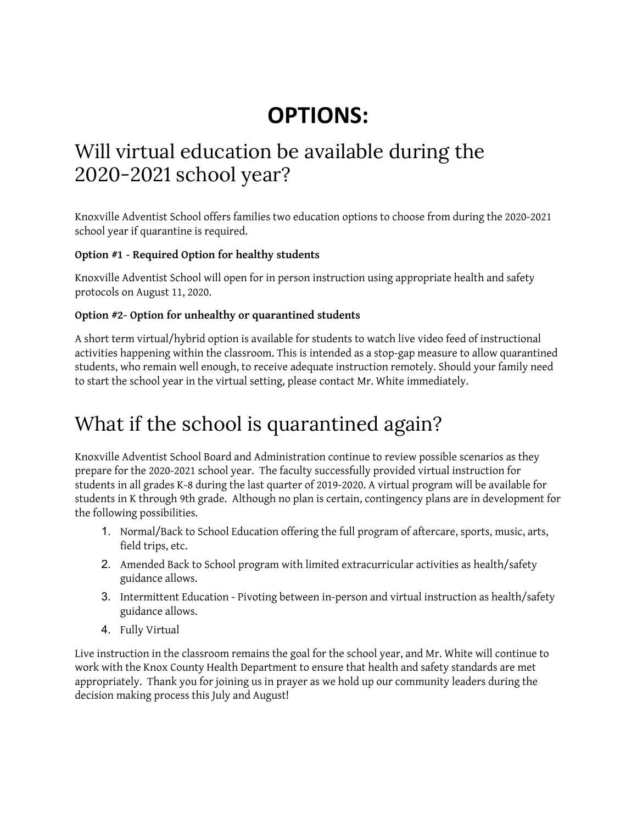## **OPTIONS:**

#### Will virtual education be available during the 2020-2021 school year?

Knoxville Adventist School offers families two education options to choose from during the 2020-2021 school year if quarantine is required.

#### **Option #1 - Required Option for healthy students**

Knoxville Adventist School will open for in person instruction using appropriate health and safety protocols on August 11, 2020.

#### **Option #2- Option for unhealthy or quarantined students**

A short term virtual/hybrid option is available for students to watch live video feed of instructional activities happening within the classroom. This is intended as a stop-gap measure to allow quarantined students, who remain well enough, to receive adequate instruction remotely. Should your family need to start the school year in the virtual setting, please contact Mr. White immediately.

### What if the school is quarantined again?

Knoxville Adventist School Board and Administration continue to review possible scenarios as they prepare for the 2020-2021 school year. The faculty successfully provided virtual instruction for students in all grades K-8 during the last quarter of 2019-2020. A virtual program will be available for students in K through 9th grade. Although no plan is certain, contingency plans are in development for the following possibilities.

- 1. Normal/Back to School Education offering the full program of aftercare, sports, music, arts, field trips, etc.
- 2. Amended Back to School program with limited extracurricular activities as health/safety guidance allows.
- 3. Intermittent Education Pivoting between in-person and virtual instruction as health/safety guidance allows.
- 4. Fully Virtual

Live instruction in the classroom remains the goal for the school year, and Mr. White will continue to work with the Knox County Health Department to ensure that health and safety standards are met appropriately. Thank you for joining us in prayer as we hold up our community leaders during the decision making process this July and August!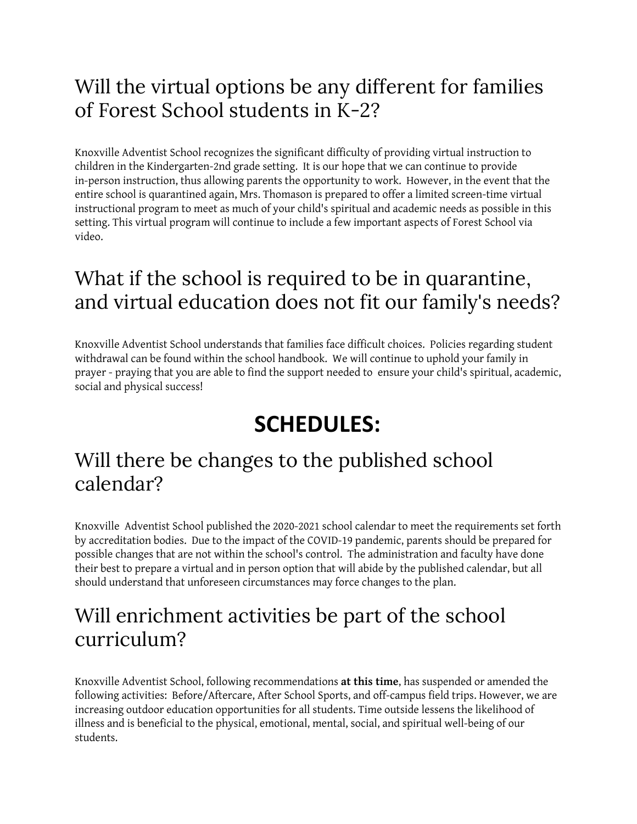### Will the virtual options be any different for families of Forest School students in K-2?

Knoxville Adventist School recognizes the significant difficulty of providing virtual instruction to children in the Kindergarten-2nd grade setting. It is our hope that we can continue to provide in-person instruction, thus allowing parents the opportunity to work. However, in the event that the entire school is quarantined again, Mrs. Thomason is prepared to offer a limited screen-time virtual instructional program to meet as much of your child's spiritual and academic needs as possible in this setting. This virtual program will continue to include a few important aspects of Forest School via video.

#### What if the school is required to be in quarantine, and virtual education does not fit our family's needs?

Knoxville Adventist School understands that families face difficult choices. Policies regarding student withdrawal can be found within the school handbook. We will continue to uphold your family in prayer - praying that you are able to find the support needed to ensure your child's spiritual, academic, social and physical success!

# **SCHEDULES:**

#### Will there be changes to the published school calendar?

Knoxville Adventist School published the 2020-2021 school calendar to meet the requirements set forth by accreditation bodies. Due to the impact of the COVID-19 pandemic, parents should be prepared for possible changes that are not within the school's control. The administration and faculty have done their best to prepare a virtual and in person option that will abide by the published calendar, but all should understand that unforeseen circumstances may force changes to the plan.

#### Will enrichment activities be part of the school curriculum?

Knoxville Adventist School, following recommendations **at this time**, has suspended or amended the following activities: Before/Aftercare, After School Sports, and off-campus field trips. However, we are increasing outdoor education opportunities for all students. Time outside lessens the likelihood of illness and is beneficial to the physical, emotional, mental, social, and spiritual well-being of our students.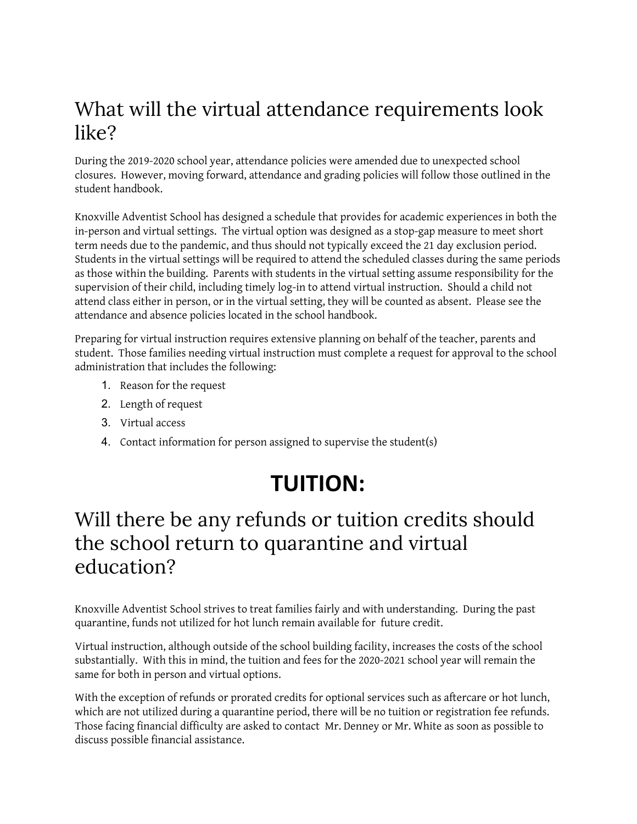### What will the virtual attendance requirements look like?

During the 2019-2020 school year, attendance policies were amended due to unexpected school closures. However, moving forward, attendance and grading policies will follow those outlined in the student handbook.

Knoxville Adventist School has designed a schedule that provides for academic experiences in both the in-person and virtual settings. The virtual option was designed as a stop-gap measure to meet short term needs due to the pandemic, and thus should not typically exceed the 21 day exclusion period. Students in the virtual settings will be required to attend the scheduled classes during the same periods as those within the building. Parents with students in the virtual setting assume responsibility for the supervision of their child, including timely log-in to attend virtual instruction. Should a child not attend class either in person, or in the virtual setting, they will be counted as absent. Please see the attendance and absence policies located in the school handbook.

Preparing for virtual instruction requires extensive planning on behalf of the teacher, parents and student. Those families needing virtual instruction must complete a request for approval to the school administration that includes the following:

- 1. Reason for the request
- 2. Length of request
- 3. Virtual access
- 4. Contact information for person assigned to supervise the student(s)

# **TUITION:**

#### Will there be any refunds or tuition credits should the school return to quarantine and virtual education?

Knoxville Adventist School strives to treat families fairly and with understanding. During the past quarantine, funds not utilized for hot lunch remain available for future credit.

Virtual instruction, although outside of the school building facility, increases the costs of the school substantially. With this in mind, the tuition and fees for the 2020-2021 school year will remain the same for both in person and virtual options.

With the exception of refunds or prorated credits for optional services such as aftercare or hot lunch, which are not utilized during a quarantine period, there will be no tuition or registration fee refunds. Those facing financial difficulty are asked to contact Mr. Denney or Mr. White as soon as possible to discuss possible financial assistance.